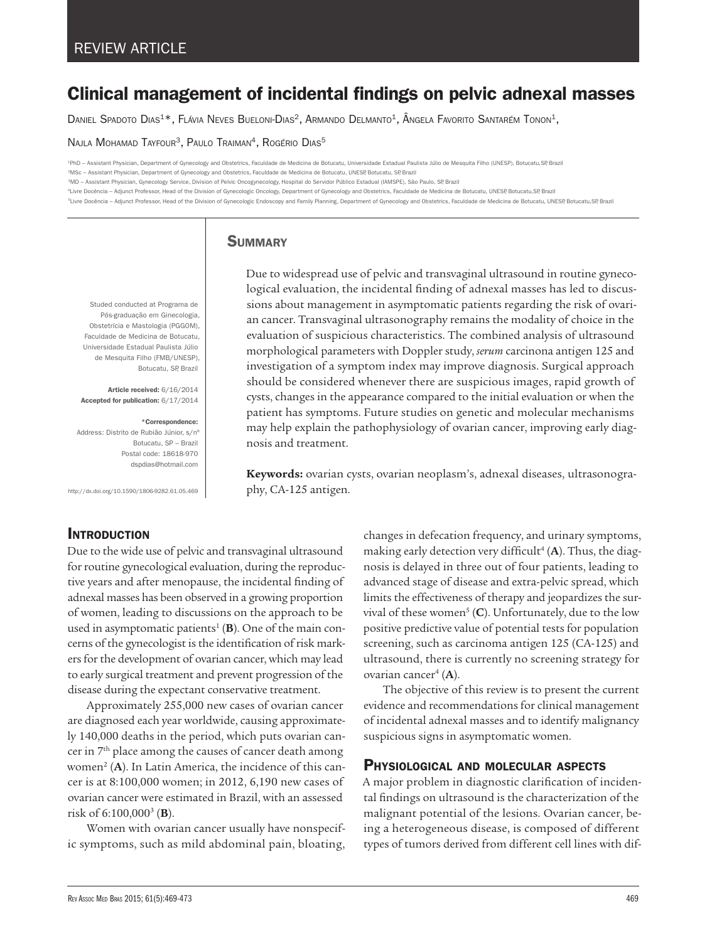# Clinical management of incidental findings on pelvic adnexal masses

DANIEL SPADOTO DIAS<sup>1\*</sup>, FLÁVIA NEVES BUELONI-DIAS<sup>2</sup>, ARMANDO DELMANTO<sup>1</sup>, ÂNGELA FAVORITO SANTARÉM TONON<sup>1</sup>,

#### Najla Mohamad Tayfour<sup>3</sup>, Paulo Traiman<sup>4</sup>, Rogério Dias<sup>5</sup>

1PhD – Assistant Physician, Department of Gynecology and Obstetrics, Faculdade de Medicina de Botucatu, Universidade Estadual Paulista Júlio de Mesquita Filho (UNESP), Botucatu,SP, Brazil

2MSc – Assistant Physician, Department of Gynecology and Obstetrics, Faculdade de Medicina de Botucatu, UNESP, Botucatu, SP, Brazil

3MD – Assistant Physician, Gynecology Service, Division of Pelvic Oncogynecology, Hospital do Servidor Público Estadual (IAMSPE), São Paulo, SP, Brazil

4Livre Docência – Adjunct Professor, Head of the Division of Gynecologic Oncology, Department of Gynecology and Obstetrics, Faculdade de Medicina de Botucatu, UNESP, Botucatu,SP, Brazil

<sup>5</sup>Livre Docência – Adjunct Professor, Head of the Division of Gynecologic Endoscopy and Family Planning, Department of Gynecology and Obstetrics, Faculdade de Medicina de Botucatu, UNESP, Botucatu,SP, Brazil

# **SUMMARY**

Studed conducted at Programa de Pós-graduação em Ginecologia, Obstetrícia e Mastologia (PGGOM), Faculdade de Medicina de Botucatu, Universidade Estadual Paulista Júlio de Mesquita Filho (FMB/UNESP), Botucatu, SP, Brazil

Article received: 6/16/2014 Accepted for publication: 6/17/2014

#### \*Correspondence:

Address: Distrito de Rubião Júnior, s/nº Botucatu, SP – Brazil Postal code: 18618-970 dspdias@hotmail.com

http://dx.doi.org/10.1590/1806-9282.61.05.469

Due to widespread use of pelvic and transvaginal ultrasound in routine gynecological evaluation, the incidental finding of adnexal masses has led to discussions about management in asymptomatic patients regarding the risk of ovarian cancer. Transvaginal ultrasonography remains the modality of choice in the evaluation of suspicious characteristics. The combined analysis of ultrasound morphological parameters with Doppler study, *serum* carcinona antigen 125 and investigation of a symptom index may improve diagnosis. Surgical approach should be considered whenever there are suspicious images, rapid growth of cysts, changes in the appearance compared to the initial evaluation or when the patient has symptoms. Future studies on genetic and molecular mechanisms may help explain the pathophysiology of ovarian cancer, improving early diagnosis and treatment.

**Keywords:** ovarian cysts, ovarian neoplasm's, adnexal diseases, ultrasonography, CA-125 antigen.

# **INTRODUCTION**

Due to the wide use of pelvic and transvaginal ultrasound for routine gynecological evaluation, during the reproductive years and after menopause, the incidental finding of adnexal masses has been observed in a growing proportion of women, leading to discussions on the approach to be used in asymptomatic patients<sup>1</sup> (B). One of the main concerns of the gynecologist is the identification of risk markers for the development of ovarian cancer, which may lead to early surgical treatment and prevent progression of the disease during the expectant conservative treatment.

Approximately 255,000 new cases of ovarian cancer are diagnosed each year worldwide, causing approximately 140,000 deaths in the period, which puts ovarian cancer in 7th place among the causes of cancer death among women<sup>2</sup> (A). In Latin America, the incidence of this cancer is at 8:100,000 women; in 2012, 6,190 new cases of ovarian cancer were estimated in Brazil, with an assessed risk of 6:100,0003 (**B**).

Women with ovarian cancer usually have nonspecific symptoms, such as mild abdominal pain, bloating, changes in defecation frequency, and urinary symptoms, making early detection very difficult<sup>4</sup> (A). Thus, the diagnosis is delayed in three out of four patients, leading to advanced stage of disease and extra-pelvic spread, which limits the effectiveness of therapy and jeopardizes the survival of these women<sup>5</sup> (C). Unfortunately, due to the low positive predictive value of potential tests for population screening, such as carcinoma antigen 125 (CA-125) and ultrasound, there is currently no screening strategy for ovarian cancer<sup>4</sup> (A).

The objective of this review is to present the current evidence and recommendations for clinical management of incidental adnexal masses and to identify malignancy suspicious signs in asymptomatic women.

# Physiological and molecular aspects

A major problem in diagnostic clarification of incidental findings on ultrasound is the characterization of the malignant potential of the lesions. Ovarian cancer, being a heterogeneous disease, is composed of different types of tumors derived from different cell lines with dif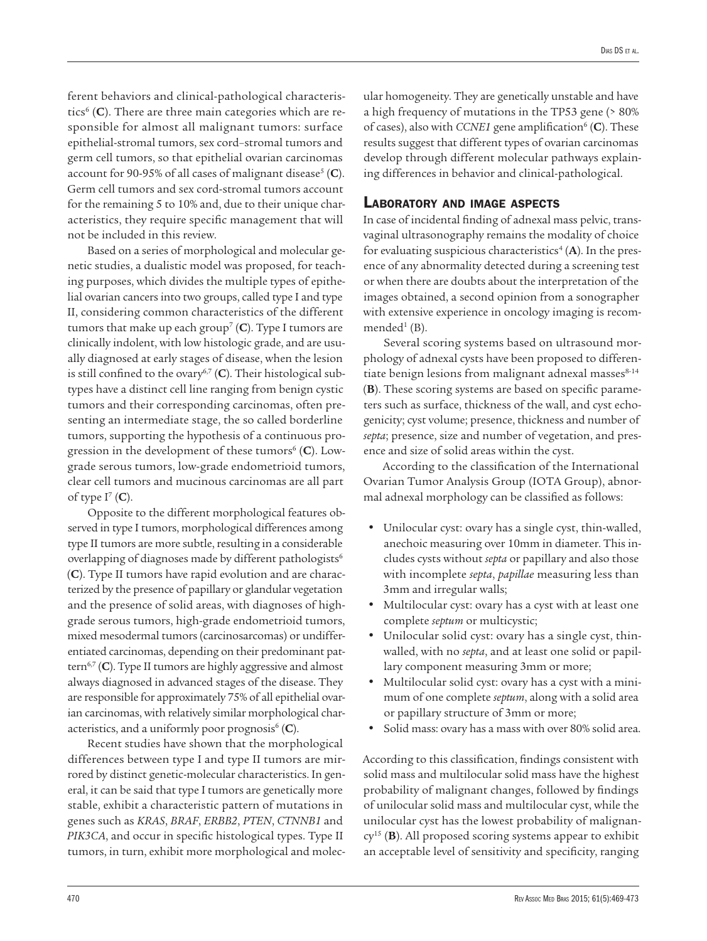ferent behaviors and clinical-pathological characteristics<sup>6</sup> (C). There are three main categories which are responsible for almost all malignant tumors: surface epithelial-stromal tumors, sex cord–stromal tumors and germ cell tumors, so that epithelial ovarian carcinomas account for 90-95% of all cases of malignant disease<sup>5</sup> (**C**). Germ cell tumors and sex cord-stromal tumors account for the remaining 5 to 10% and, due to their unique characteristics, they require specific management that will not be included in this review.

Based on a series of morphological and molecular genetic studies, a dualistic model was proposed, for teaching purposes, which divides the multiple types of epithelial ovarian cancers into two groups, called type I and type II, considering common characteristics of the different tumors that make up each group7 (**C**). Type I tumors are clinically indolent, with low histologic grade, and are usually diagnosed at early stages of disease, when the lesion is still confined to the ovary<sup>6,7</sup> (C). Their histological subtypes have a distinct cell line ranging from benign cystic tumors and their corresponding carcinomas, often presenting an intermediate stage, the so called borderline tumors, supporting the hypothesis of a continuous progression in the development of these tumors<sup>6</sup> (**C**). Lowgrade serous tumors, low-grade endometrioid tumors, clear cell tumors and mucinous carcinomas are all part of type  $I^7$  (**C**).

Opposite to the different morphological features observed in type I tumors, morphological differences among type II tumors are more subtle, resulting in a considerable overlapping of diagnoses made by different pathologists<sup>6</sup> (**C**). Type II tumors have rapid evolution and are characterized by the presence of papillary or glandular vegetation and the presence of solid areas, with diagnoses of highgrade serous tumors, high-grade endometrioid tumors, mixed mesodermal tumors (carcinosarcomas) or undifferentiated carcinomas, depending on their predominant pattern6,7 (**C**). Type II tumors are highly aggressive and almost always diagnosed in advanced stages of the disease. They are responsible for approximately 75% of all epithelial ovarian carcinomas, with relatively similar morphological characteristics, and a uniformly poor prognosis<sup>6</sup> (**C**).

Recent studies have shown that the morphological differences between type I and type II tumors are mirrored by distinct genetic-molecular characteristics. In general, it can be said that type I tumors are genetically more stable, exhibit a characteristic pattern of mutations in genes such as *KRAS*, *BRAF*, *ERBB2*, *PTEN*, *CTNNB1* and *PIK3CA*, and occur in specific histological types. Type II tumors, in turn, exhibit more morphological and molecular homogeneity. They are genetically unstable and have a high frequency of mutations in the TP53 gene (> 80% of cases), also with *CCNE1* gene amplification<sup>6</sup> (C). These results suggest that different types of ovarian carcinomas develop through different molecular pathways explaining differences in behavior and clinical-pathological.

#### Laboratory and image aspects

In case of incidental finding of adnexal mass pelvic, transvaginal ultrasonography remains the modality of choice for evaluating suspicious characteristics<sup>4</sup> (A). In the presence of any abnormality detected during a screening test or when there are doubts about the interpretation of the images obtained, a second opinion from a sonographer with extensive experience in oncology imaging is recommended<sup>1</sup> (B).

Several scoring systems based on ultrasound morphology of adnexal cysts have been proposed to differentiate benign lesions from malignant adnexal masses<sup>8-14</sup> (**B**). These scoring systems are based on specific parameters such as surface, thickness of the wall, and cyst echogenicity; cyst volume; presence, thickness and number of *septa*; presence, size and number of vegetation, and presence and size of solid areas within the cyst.

According to the classification of the International Ovarian Tumor Analysis Group (IOTA Group), abnormal adnexal morphology can be classified as follows:

- Unilocular cyst: ovary has a single cyst, thin-walled, anechoic measuring over 10mm in diameter. This includes cysts without *septa* or papillary and also those with incomplete *septa*, *papillae* measuring less than 3mm and irregular walls;
- Multilocular cyst: ovary has a cyst with at least one complete *septum* or multicystic;
- Unilocular solid cyst: ovary has a single cyst, thinwalled, with no *septa*, and at least one solid or papillary component measuring 3mm or more;
- Multilocular solid cyst: ovary has a cyst with a minimum of one complete *septum*, along with a solid area or papillary structure of 3mm or more;
- Solid mass: ovary has a mass with over 80% solid area.

According to this classification, findings consistent with solid mass and multilocular solid mass have the highest probability of malignant changes, followed by findings of unilocular solid mass and multilocular cyst, while the unilocular cyst has the lowest probability of malignancy15 (**B**). All proposed scoring systems appear to exhibit an acceptable level of sensitivity and specificity, ranging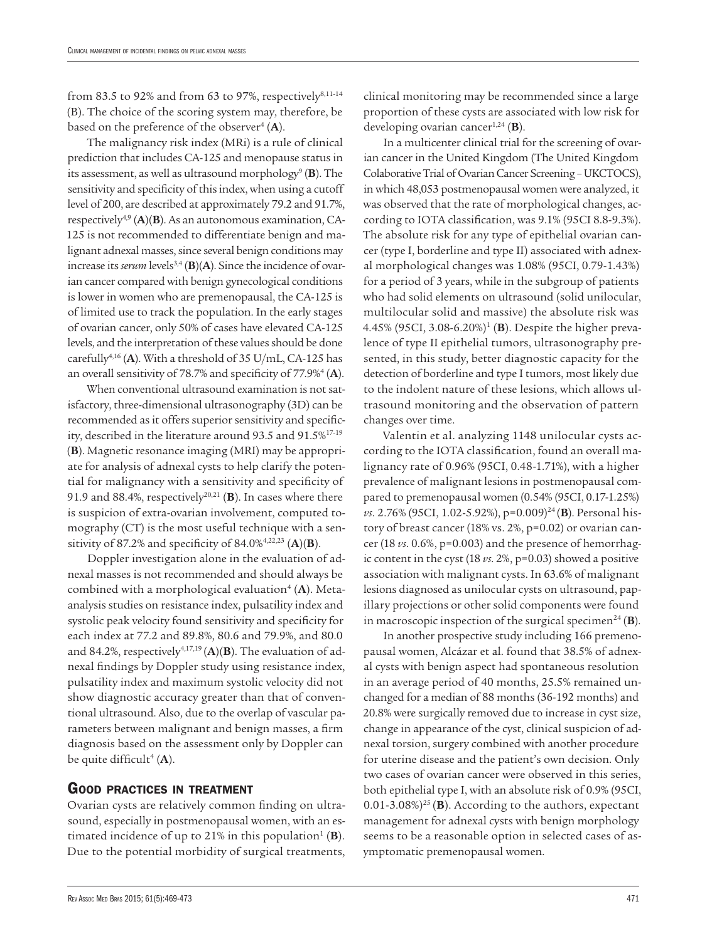from 83.5 to 92% and from 63 to 97%, respectively $8,11-14$ (B). The choice of the scoring system may, therefore, be based on the preference of the observer<sup>4</sup> (**A**).

The malignancy risk index (MRi) is a rule of clinical prediction that includes CA-125 and menopause status in its assessment, as well as ultrasound morphology<sup>9</sup> (**B**). The sensitivity and specificity of this index, when using a cutoff level of 200, are described at approximately 79.2 and 91.7%, respectively4,9 (**A**)(**B**). As an autonomous examination, CA-125 is not recommended to differentiate benign and malignant adnexal masses, since several benign conditions may increase its *serum* levels<sup>3,4</sup> (B)(A). Since the incidence of ovarian cancer compared with benign gynecological conditions is lower in women who are premenopausal, the CA-125 is of limited use to track the population. In the early stages of ovarian cancer, only 50% of cases have elevated CA-125 levels, and the interpretation of these values should be done carefully4,16 (**A**). With a threshold of 35 U/mL, CA-125 has an overall sensitivity of 78.7% and specificity of 77.9%<sup>4</sup> (A).

When conventional ultrasound examination is not satisfactory, three-dimensional ultrasonography (3D) can be recommended as it offers superior sensitivity and specificity, described in the literature around 93.5 and 91.5%17-19 (**B**). Magnetic resonance imaging (MRI) may be appropriate for analysis of adnexal cysts to help clarify the potential for malignancy with a sensitivity and specificity of 91.9 and 88.4%, respectively<sup>20,21</sup> (B). In cases where there is suspicion of extra-ovarian involvement, computed tomography (CT) is the most useful technique with a sensitivity of 87.2% and specificity of 84.0%4,22,23 (**A**)(**B**).

Doppler investigation alone in the evaluation of adnexal masses is not recommended and should always be combined with a morphological evaluation<sup>4</sup> (A). Metaanalysis studies on resistance index, pulsatility index and systolic peak velocity found sensitivity and specificity for each index at 77.2 and 89.8%, 80.6 and 79.9%, and 80.0 and 84.2%, respectively<sup>4,17,19</sup> (A)(B). The evaluation of adnexal findings by Doppler study using resistance index, pulsatility index and maximum systolic velocity did not show diagnostic accuracy greater than that of conventional ultrasound. Also, due to the overlap of vascular parameters between malignant and benign masses, a firm diagnosis based on the assessment only by Doppler can be quite difficult<sup>4</sup> (**A**).

#### Good practices in treatment

Ovarian cysts are relatively common finding on ultrasound, especially in postmenopausal women, with an estimated incidence of up to 21% in this population<sup>1</sup> (**B**). Due to the potential morbidity of surgical treatments,

clinical monitoring may be recommended since a large proportion of these cysts are associated with low risk for developing ovarian cancer<sup>1,24</sup> (B).

In a multicenter clinical trial for the screening of ovarian cancer in the United Kingdom (The United Kingdom Colaborative Trial of Ovarian Cancer Screening – UKCTOCS), in which 48,053 postmenopausal women were analyzed, it was observed that the rate of morphological changes, according to IOTA classification, was 9.1% (95CI 8.8-9.3%). The absolute risk for any type of epithelial ovarian cancer (type I, borderline and type II) associated with adnexal morphological changes was 1.08% (95CI, 0.79-1.43%) for a period of 3 years, while in the subgroup of patients who had solid elements on ultrasound (solid unilocular, multilocular solid and massive) the absolute risk was 4.45% (95CI, 3.08-6.20%)1 (**B**). Despite the higher prevalence of type II epithelial tumors, ultrasonography presented, in this study, better diagnostic capacity for the detection of borderline and type I tumors, most likely due to the indolent nature of these lesions, which allows ultrasound monitoring and the observation of pattern changes over time.

Valentin et al. analyzing 1148 unilocular cysts according to the IOTA classification, found an overall malignancy rate of 0.96% (95CI, 0.48-1.71%), with a higher prevalence of malignant lesions in postmenopausal compared to premenopausal women (0.54% (95CI, 0.17-1.25%) *vs*. 2.76% (95CI, 1.02-5.92%), p=0.009)<sup>24</sup> (**B**). Personal history of breast cancer (18% vs. 2%, p=0.02) or ovarian cancer (18 *vs*. 0.6%, p=0.003) and the presence of hemorrhagic content in the cyst (18 *vs*. 2%, p=0.03) showed a positive association with malignant cysts. In 63.6% of malignant lesions diagnosed as unilocular cysts on ultrasound, papillary projections or other solid components were found in macroscopic inspection of the surgical specimen<sup>24</sup> (B).

In another prospective study including 166 premenopausal women, Alcázar et al. found that 38.5% of adnexal cysts with benign aspect had spontaneous resolution in an average period of 40 months, 25.5% remained unchanged for a median of 88 months (36-192 months) and 20.8% were surgically removed due to increase in cyst size, change in appearance of the cyst, clinical suspicion of adnexal torsion, surgery combined with another procedure for uterine disease and the patient's own decision. Only two cases of ovarian cancer were observed in this series, both epithelial type I, with an absolute risk of 0.9% (95CI, 0.01-3.08%)<sup>25</sup> (**B**). According to the authors, expectant management for adnexal cysts with benign morphology seems to be a reasonable option in selected cases of asymptomatic premenopausal women.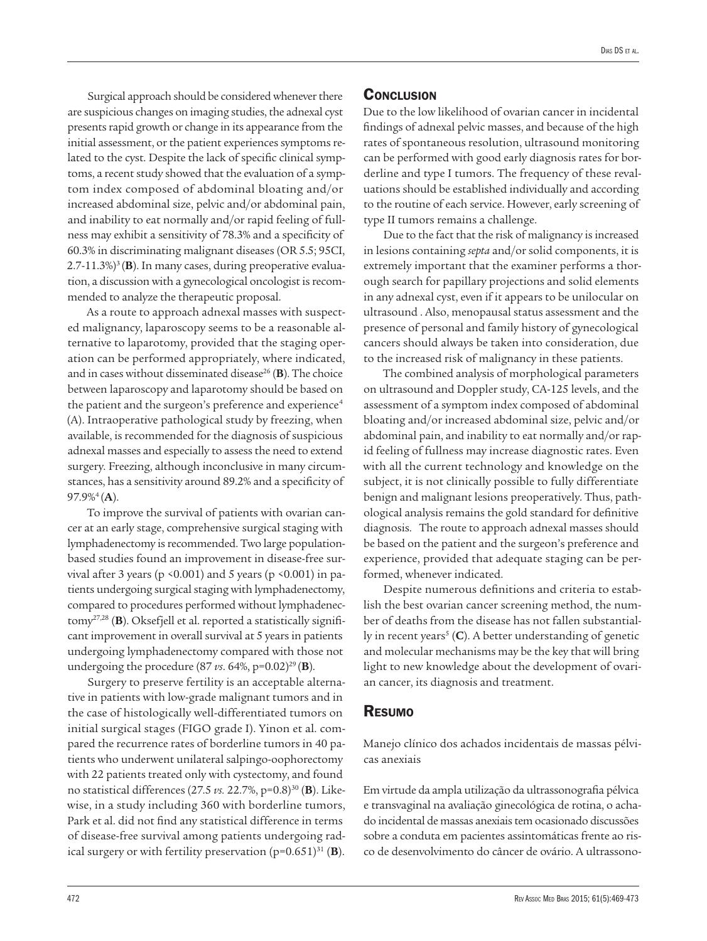Surgical approach should be considered whenever there are suspicious changes on imaging studies, the adnexal cyst presents rapid growth or change in its appearance from the initial assessment, or the patient experiences symptoms related to the cyst. Despite the lack of specific clinical symptoms, a recent study showed that the evaluation of a symptom index composed of abdominal bloating and/or increased abdominal size, pelvic and/or abdominal pain, and inability to eat normally and/or rapid feeling of fullness may exhibit a sensitivity of 78.3% and a specificity of 60.3% in discriminating malignant diseases (OR 5.5; 95CI, 2.7-11.3%)<sup>3</sup> (**B**). In many cases, during preoperative evaluation, a discussion with a gynecological oncologist is recommended to analyze the therapeutic proposal.

As a route to approach adnexal masses with suspected malignancy, laparoscopy seems to be a reasonable alternative to laparotomy, provided that the staging operation can be performed appropriately, where indicated, and in cases without disseminated disease<sup>26</sup> (B). The choice between laparoscopy and laparotomy should be based on the patient and the surgeon's preference and experience<sup>4</sup> (A). Intraoperative pathological study by freezing, when available, is recommended for the diagnosis of suspicious adnexal masses and especially to assess the need to extend surgery. Freezing, although inconclusive in many circumstances, has a sensitivity around 89.2% and a specificity of 97.9%4 (**A**).

To improve the survival of patients with ovarian cancer at an early stage, comprehensive surgical staging with lymphadenectomy is recommended. Two large populationbased studies found an improvement in disease-free survival after 3 years ( $p \le 0.001$ ) and 5 years ( $p \le 0.001$ ) in patients undergoing surgical staging with lymphadenectomy, compared to procedures performed without lymphadenectomy27,28 (**B**). Oksefjell et al. reported a statistically significant improvement in overall survival at 5 years in patients undergoing lymphadenectomy compared with those not undergoing the procedure (87  $\nu$ s. 64%, p=0.02)<sup>29</sup> (**B**).

Surgery to preserve fertility is an acceptable alternative in patients with low-grade malignant tumors and in the case of histologically well-differentiated tumors on initial surgical stages (FIGO grade I). Yinon et al. compared the recurrence rates of borderline tumors in 40 patients who underwent unilateral salpingo-oophorectomy with 22 patients treated only with cystectomy, and found no statistical differences (27.5 *vs.* 22.7%, p=0.8)30 (**B**). Likewise, in a study including 360 with borderline tumors, Park et al. did not find any statistical difference in terms of disease-free survival among patients undergoing radical surgery or with fertility preservation  $(p=0.651)^{31}$  (**B**).

### **CONCLUSION**

Due to the low likelihood of ovarian cancer in incidental findings of adnexal pelvic masses, and because of the high rates of spontaneous resolution, ultrasound monitoring can be performed with good early diagnosis rates for borderline and type I tumors. The frequency of these revaluations should be established individually and according to the routine of each service. However, early screening of type II tumors remains a challenge.

Due to the fact that the risk of malignancy is increased in lesions containing *septa* and/or solid components, it is extremely important that the examiner performs a thorough search for papillary projections and solid elements in any adnexal cyst, even if it appears to be unilocular on ultrasound . Also, menopausal status assessment and the presence of personal and family history of gynecological cancers should always be taken into consideration, due to the increased risk of malignancy in these patients.

The combined analysis of morphological parameters on ultrasound and Doppler study, CA-125 levels, and the assessment of a symptom index composed of abdominal bloating and/or increased abdominal size, pelvic and/or abdominal pain, and inability to eat normally and/or rapid feeling of fullness may increase diagnostic rates. Even with all the current technology and knowledge on the subject, it is not clinically possible to fully differentiate benign and malignant lesions preoperatively. Thus, pathological analysis remains the gold standard for definitive diagnosis. The route to approach adnexal masses should be based on the patient and the surgeon's preference and experience, provided that adequate staging can be performed, whenever indicated.

Despite numerous definitions and criteria to establish the best ovarian cancer screening method, the number of deaths from the disease has not fallen substantially in recent years<sup>5</sup> (C). A better understanding of genetic and molecular mechanisms may be the key that will bring light to new knowledge about the development of ovarian cancer, its diagnosis and treatment.

#### Resumo

Manejo clínico dos achados incidentais de massas pélvicas anexiais

Em virtude da ampla utilização da ultrassonografia pélvica e transvaginal na avaliação ginecológica de rotina, o achado incidental de massas anexiais tem ocasionado discussões sobre a conduta em pacientes assintomáticas frente ao risco de desenvolvimento do câncer de ovário. A ultrassono